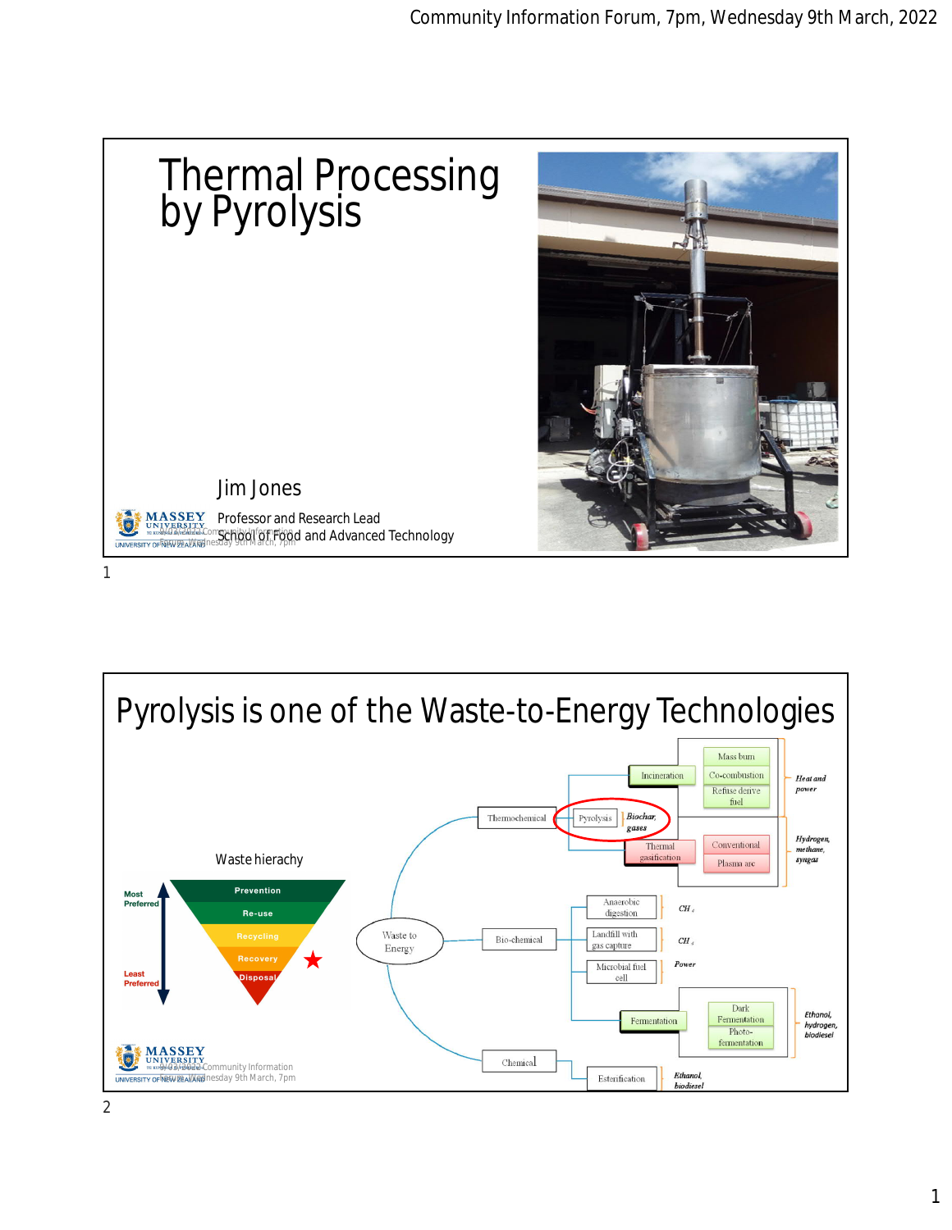

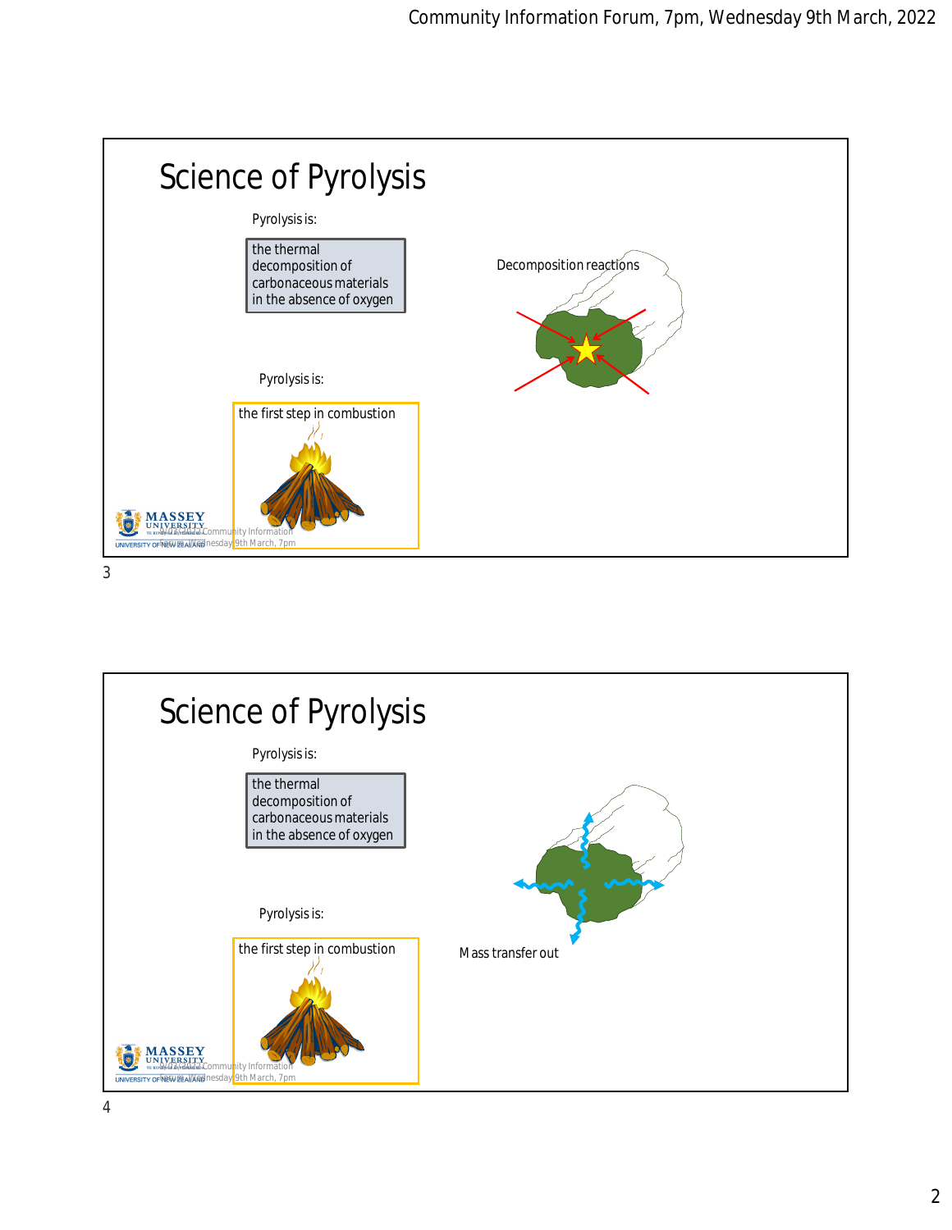

Science of Pyrolysis Pyrolysis is: the thermal decomposition of carbonaceous materials in the absence of oxygen Pyrolysis is: the first step in combustion Mass transfer out **MASSEY**<br>UNIVERSITY<br>TRAVALO ALABELA COMMUNITY Infor 1\* UNIVERSITY OF MEW DEALWARD nesday 9th March, 7pm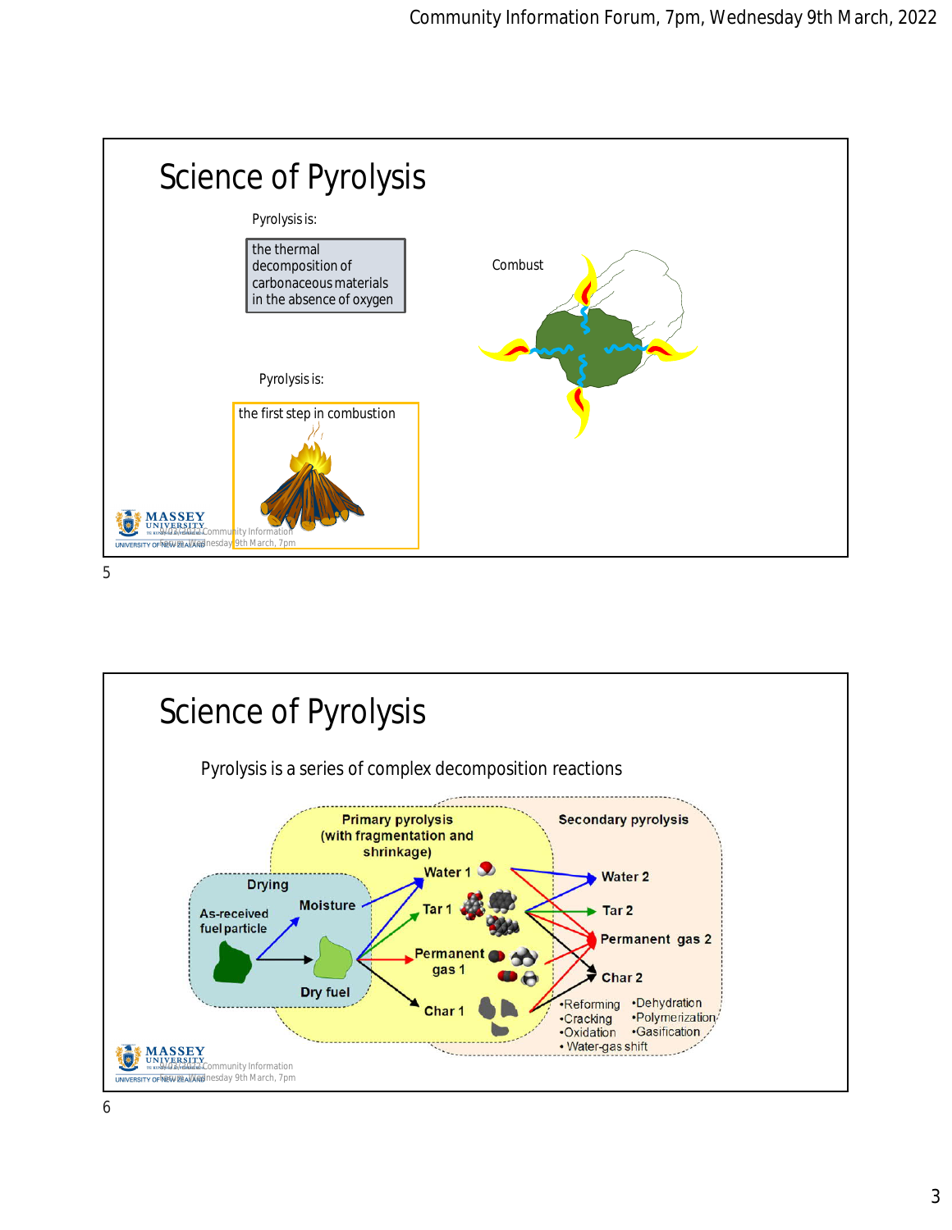



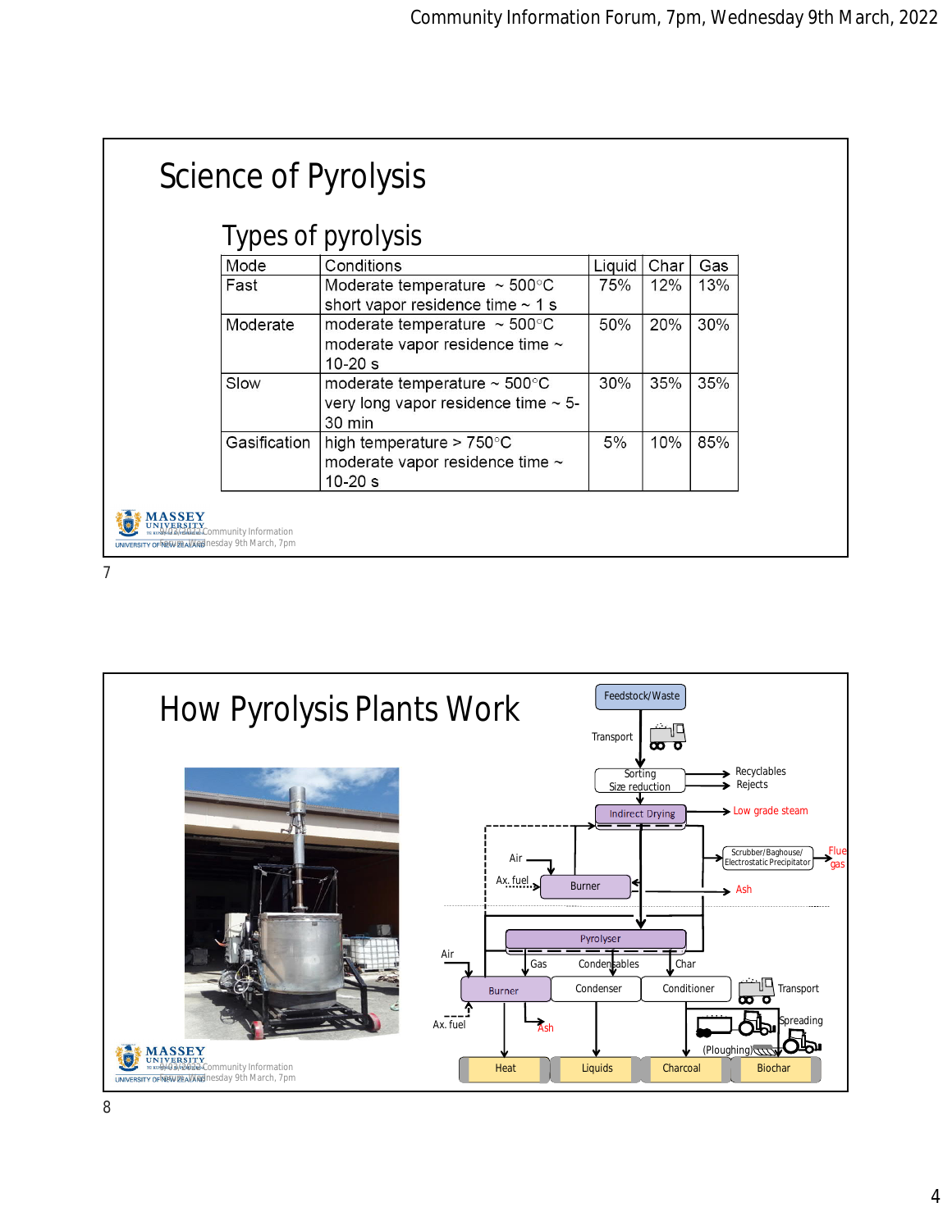|                                                  |                              | Science of Pyrolysis                                                                                |        |      |     |  |  |  |
|--------------------------------------------------|------------------------------|-----------------------------------------------------------------------------------------------------|--------|------|-----|--|--|--|
| Types of pyrolysis                               |                              |                                                                                                     |        |      |     |  |  |  |
|                                                  | Mode                         | Conditions                                                                                          | Liquid | Char | Gas |  |  |  |
|                                                  | Fast                         | Moderate temperature $\sim$ 500 $^{\circ}$ C<br>short vapor residence time $\sim$ 1 s               | 75%    | 12%  | 13% |  |  |  |
|                                                  | Moderate                     | moderate temperature $\sim$ 500 $^{\circ}$ C<br>moderate vapor residence time $\sim$<br>$10 - 20 s$ | 50%    | 20%  | 30% |  |  |  |
|                                                  | Slow                         | moderate temperature $\sim$ 500 $^{\circ}$ C<br>very long vapor residence time $\sim$ 5-<br>30 min  | 30%    | 35%  | 35% |  |  |  |
|                                                  | Gasification                 | high temperature > $750^{\circ}$ C<br>moderate vapor residence time ~<br>$10 - 20$ s                | 5%     | 10%  | 85% |  |  |  |
| UNIVERSITY OF NEW DEALWOON Desday 9th March, 7pm | 3/2022 Community Information |                                                                                                     |        |      |     |  |  |  |

7

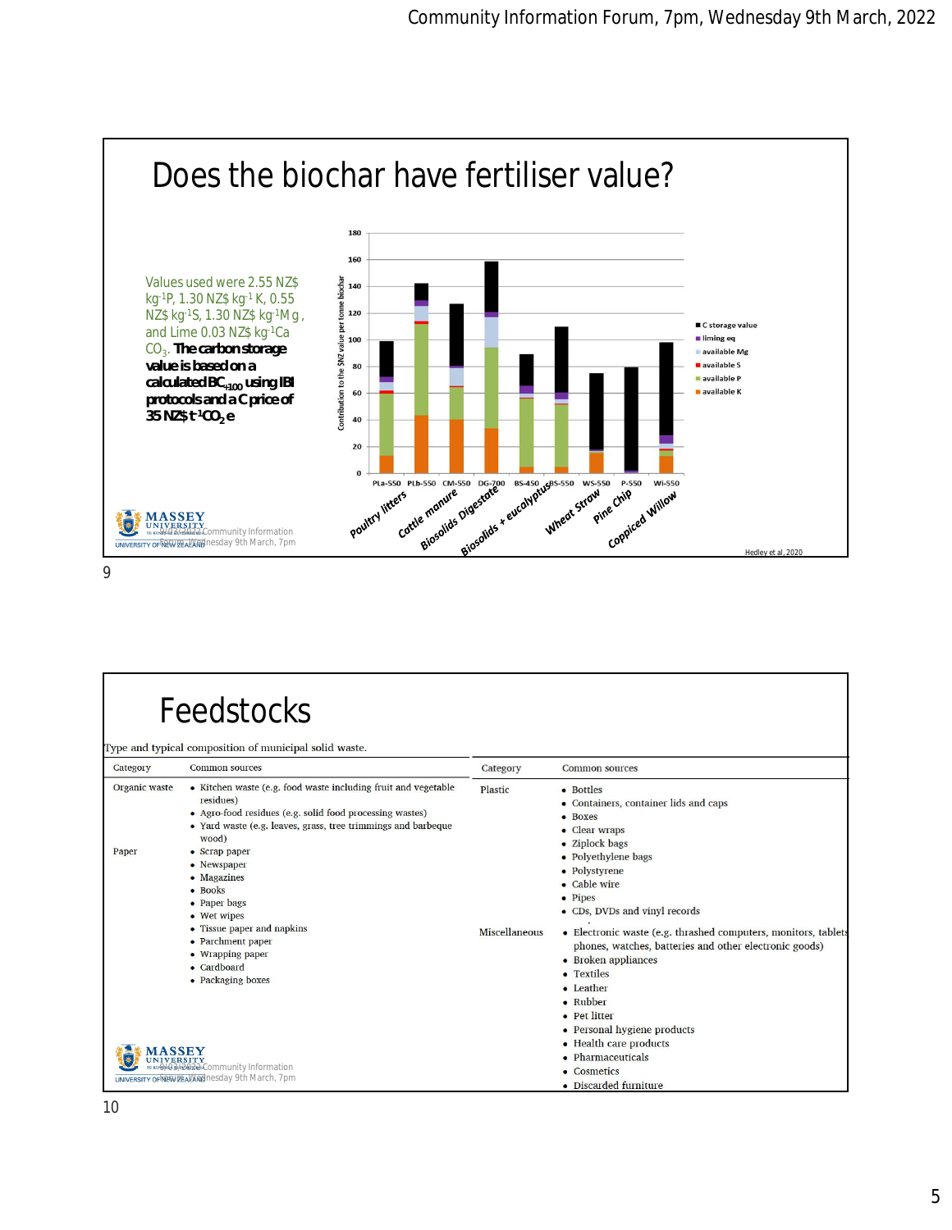

## 9

Г

| Category               | Feedstocks<br>Type and typical composition of municipal solid waste.<br><b>Common sources</b>                                                                                                                                                                                                                                                                                                                                                                                                                                       | Category                        | <b>Common sources</b>                                                                                                                                                                                                                                                                                                                                                                                                                                                                                                                |
|------------------------|-------------------------------------------------------------------------------------------------------------------------------------------------------------------------------------------------------------------------------------------------------------------------------------------------------------------------------------------------------------------------------------------------------------------------------------------------------------------------------------------------------------------------------------|---------------------------------|--------------------------------------------------------------------------------------------------------------------------------------------------------------------------------------------------------------------------------------------------------------------------------------------------------------------------------------------------------------------------------------------------------------------------------------------------------------------------------------------------------------------------------------|
| Organic waste<br>Paper | • Kitchen waste (e.g. food waste including fruit and vegetable<br>residues)<br>• Agro-food residues (e.g. solid food processing wastes)<br>• Yard waste (e.g. leaves, grass, tree trimmings and barbeque<br>wood)<br>• Scrap paper<br>• Newspaper<br>• Magazines<br>$\bullet$ Books<br>• Paper bags<br>• Wet wipes<br>• Tissue paper and napkins<br>• Parchment paper<br>• Wrapping paper<br>• Cardboard<br>• Packaging boxes<br><b>ERSITY</b><br>03/2022 Community Information<br>UNIVERSITY OF MEWIZE ALMAD nesday 9th March, 7pm | Plastic<br><b>Miscellaneous</b> | • Bottles<br>• Containers, container lids and caps<br>• Boxes<br>• Clear wraps<br>• Ziplock bags<br>• Polyethylene bags<br>• Polystyrene<br>• Cable wire<br>• Pipes<br>• CDs, DVDs and vinyl records<br>• Electronic waste (e.g. thrashed computers, monitors, tablets<br>phones, watches, batteries and other electronic goods)<br>• Broken appliances<br>• Textiles<br>• Leather<br>• Rubber<br>• Pet litter<br>• Personal hygiene products<br>• Health care products<br>• Pharmaceuticals<br>• Cosmetics<br>• Discarded furniture |